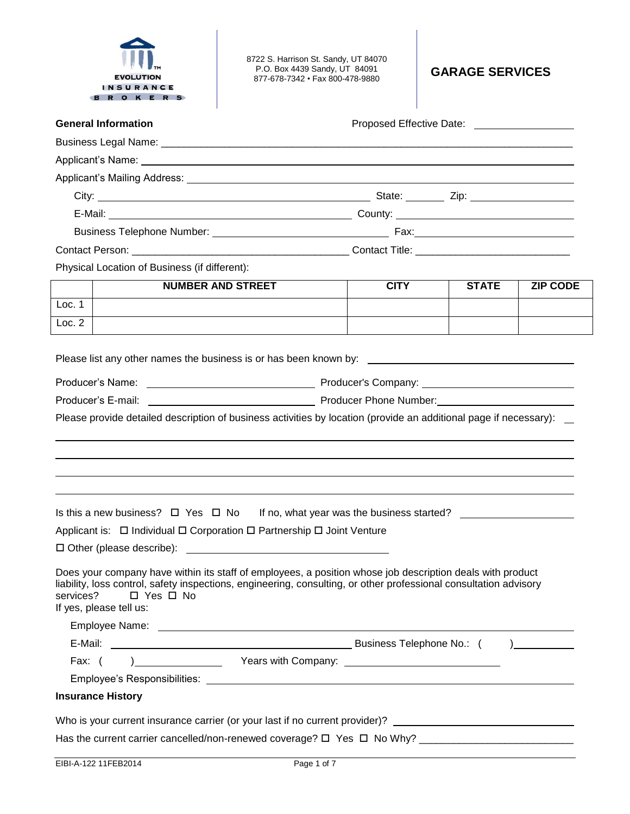

8722 S. Harrison St. Sandy, UT 84070 P.O. Box 4439 Sandy, UT 84091 877-678-7342 • Fax 800-478-9880 **GARAGE SERVICES**

| <b>General Information</b>                                                                                                                                                                                                                                                                     |             | Proposed Effective Date: ____________________ |                 |
|------------------------------------------------------------------------------------------------------------------------------------------------------------------------------------------------------------------------------------------------------------------------------------------------|-------------|-----------------------------------------------|-----------------|
|                                                                                                                                                                                                                                                                                                |             |                                               |                 |
|                                                                                                                                                                                                                                                                                                |             |                                               |                 |
|                                                                                                                                                                                                                                                                                                |             |                                               |                 |
|                                                                                                                                                                                                                                                                                                |             |                                               |                 |
|                                                                                                                                                                                                                                                                                                |             |                                               |                 |
|                                                                                                                                                                                                                                                                                                |             |                                               |                 |
|                                                                                                                                                                                                                                                                                                |             |                                               |                 |
| Physical Location of Business (if different):                                                                                                                                                                                                                                                  |             |                                               |                 |
| <b>NUMBER AND STREET</b>                                                                                                                                                                                                                                                                       | <b>CITY</b> | <b>STATE</b>                                  | <b>ZIP CODE</b> |
| Loc. 1                                                                                                                                                                                                                                                                                         |             |                                               |                 |
| Loc. 2                                                                                                                                                                                                                                                                                         |             |                                               |                 |
|                                                                                                                                                                                                                                                                                                |             |                                               |                 |
| Producer Phone Number: National Accounts 2014 19:00 Producer Phone Number:<br>Producer's E-mail:                                                                                                                                                                                               |             |                                               |                 |
|                                                                                                                                                                                                                                                                                                |             |                                               |                 |
| Is this a new business? $\Box$ Yes $\Box$ No If no, what year was the business started? $\Box$                                                                                                                                                                                                 |             |                                               |                 |
| Applicant is: □ Individual □ Corporation □ Partnership □ Joint Venture                                                                                                                                                                                                                         |             |                                               |                 |
|                                                                                                                                                                                                                                                                                                |             |                                               |                 |
| Does your company have within its staff of employees, a position whose job description deals with product<br>liability, loss control, safety inspections, engineering, consulting, or other professional consultation advisory<br>services?<br>$\Box$ Yes $\Box$ No<br>If yes, please tell us: |             |                                               |                 |
|                                                                                                                                                                                                                                                                                                |             |                                               |                 |
|                                                                                                                                                                                                                                                                                                |             |                                               |                 |
|                                                                                                                                                                                                                                                                                                |             |                                               |                 |
|                                                                                                                                                                                                                                                                                                |             |                                               |                 |
| <b>Insurance History</b>                                                                                                                                                                                                                                                                       |             |                                               |                 |
| Who is your current insurance carrier (or your last if no current provider)?                                                                                                                                                                                                                   |             |                                               |                 |
|                                                                                                                                                                                                                                                                                                |             |                                               |                 |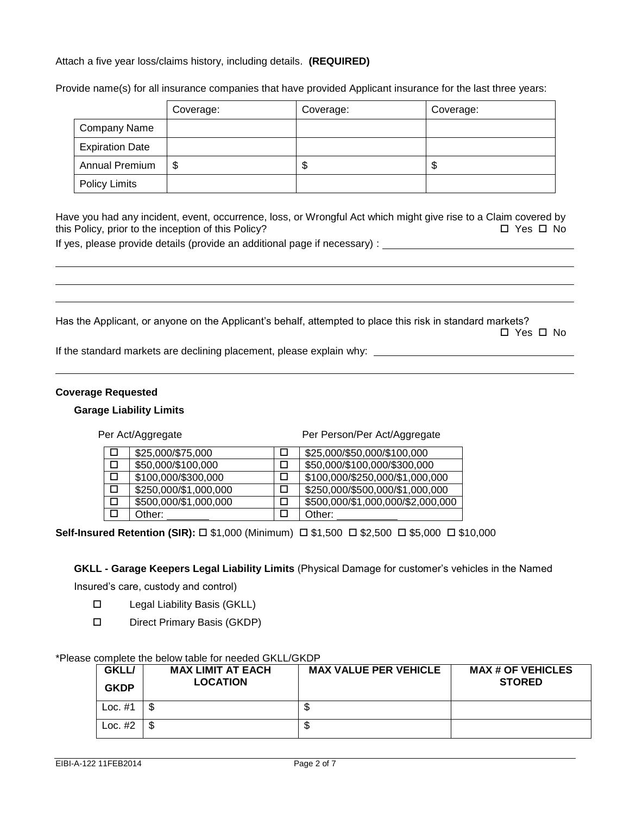## Attach a five year loss/claims history, including details. **(REQUIRED)**

Provide name(s) for all insurance companies that have provided Applicant insurance for the last three years:

|                        | Coverage: | Coverage: | Coverage: |
|------------------------|-----------|-----------|-----------|
| <b>Company Name</b>    |           |           |           |
| <b>Expiration Date</b> |           |           |           |
| Annual Premium         | \$        | D         | จ         |
| <b>Policy Limits</b>   |           |           |           |

Have you had any incident, event, occurrence, loss, or Wrongful Act which might give rise to a Claim covered by this Policy, prior to the inception of this Policy?  $\Box$  Yes  $\Box$  No

If yes, please provide details (provide an additional page if necessary) :

Has the Applicant, or anyone on the Applicant's behalf, attempted to place this risk in standard markets? Yes No

If the standard markets are declining placement, please explain why:

#### **Coverage Requested**

#### **Garage Liability Limits**

Per Act/Aggregate Per Person/Per Act/Aggregate

| \$25,000/\$75,000     | \$25,000/\$50,000/\$100,000       |
|-----------------------|-----------------------------------|
| \$50,000/\$100,000    | \$50,000/\$100,000/\$300,000      |
| \$100,000/\$300,000   | \$100,000/\$250,000/\$1,000,000   |
| \$250,000/\$1,000,000 | \$250,000/\$500,000/\$1,000,000   |
| \$500,000/\$1,000,000 | \$500,000/\$1,000,000/\$2,000,000 |
| Other:                | Other:                            |

**Self-Insured Retention (SIR):** □ \$1,000 (Minimum) □ \$1,500 □ \$2,500 □ \$5,000 □ \$10,000

**GKLL - Garage Keepers Legal Liability Limits** (Physical Damage for customer's vehicles in the Named

Insured's care, custody and control)

- □ Legal Liability Basis (GKLL)
- D Direct Primary Basis (GKDP)

#### \*Please complete the below table for needed GKLL/GKDP

| <b>GKLL/</b><br><b>GKDP</b> | <b>MAX LIMIT AT EACH</b><br><b>LOCATION</b> | <b>MAX VALUE PER VEHICLE</b> | <b>MAX # OF VEHICLES</b><br><b>STORED</b> |
|-----------------------------|---------------------------------------------|------------------------------|-------------------------------------------|
| Loc. $#1$                   | S                                           |                              |                                           |
| Loc. $#2$                   | S                                           | w                            |                                           |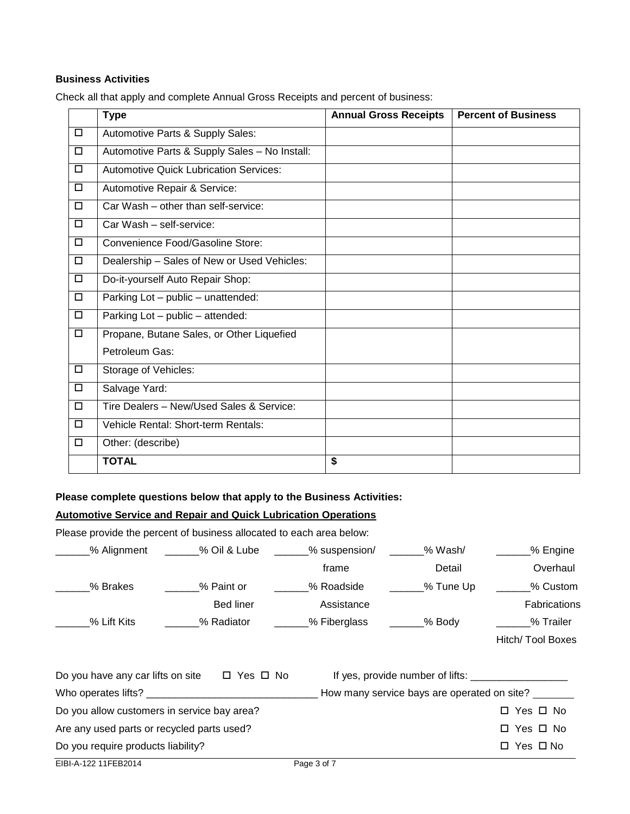## **Business Activities**

Check all that apply and complete Annual Gross Receipts and percent of business:

|        | <b>Type</b>                                   | <b>Annual Gross Receipts</b> | <b>Percent of Business</b> |
|--------|-----------------------------------------------|------------------------------|----------------------------|
| D.     | Automotive Parts & Supply Sales:              |                              |                            |
| $\Box$ | Automotive Parts & Supply Sales - No Install: |                              |                            |
| $\Box$ | <b>Automotive Quick Lubrication Services:</b> |                              |                            |
| $\Box$ | Automotive Repair & Service:                  |                              |                            |
| $\Box$ | Car Wash – other than self-service:           |                              |                            |
| $\Box$ | Car Wash - self-service:                      |                              |                            |
| $\Box$ | Convenience Food/Gasoline Store:              |                              |                            |
| $\Box$ | Dealership - Sales of New or Used Vehicles:   |                              |                            |
| $\Box$ | Do-it-yourself Auto Repair Shop:              |                              |                            |
| $\Box$ | Parking Lot - public - unattended:            |                              |                            |
| $\Box$ | Parking Lot - public - attended:              |                              |                            |
| $\Box$ | Propane, Butane Sales, or Other Liquefied     |                              |                            |
|        | Petroleum Gas:                                |                              |                            |
| $\Box$ | Storage of Vehicles:                          |                              |                            |
| $\Box$ | Salvage Yard:                                 |                              |                            |
| $\Box$ | Tire Dealers - New/Used Sales & Service:      |                              |                            |
| $\Box$ | Vehicle Rental: Short-term Rentals:           |                              |                            |
| $\Box$ | Other: (describe)                             |                              |                            |
|        | <b>TOTAL</b>                                  | \$                           |                            |

## **Please complete questions below that apply to the Business Activities:**

# **Automotive Service and Repair and Quick Lubrication Operations**

Please provide the percent of business allocated to each area below:

| % Alignment                                            | % Oil & Lube | _% suspension/ | % Wash/                                     | % Engine            |
|--------------------------------------------------------|--------------|----------------|---------------------------------------------|---------------------|
|                                                        |              | frame          | Detail                                      | Overhaul            |
| % Brakes                                               | % Paint or   | % Roadside     | ___% Tune Up                                | % Custom            |
|                                                        | Bed liner    | Assistance     |                                             | <b>Fabrications</b> |
| % Lift Kits                                            | % Radiator   | _% Fiberglass  | ____% Body                                  | % Trailer           |
|                                                        |              |                |                                             | Hitch/ Tool Boxes   |
| Do you have any car lifts on site $\Box$ Yes $\Box$ No |              |                |                                             |                     |
|                                                        |              |                | How many service bays are operated on site? |                     |
| Do you allow customers in service bay area?            |              |                |                                             | □ Yes □ No          |
| Are any used parts or recycled parts used?             |              |                |                                             | □ Yes □ No          |
| Do you require products liability?                     |              |                |                                             | □ Yes □ No          |
| EIBI-A-122 11FEB2014                                   |              | Page 3 of 7    |                                             |                     |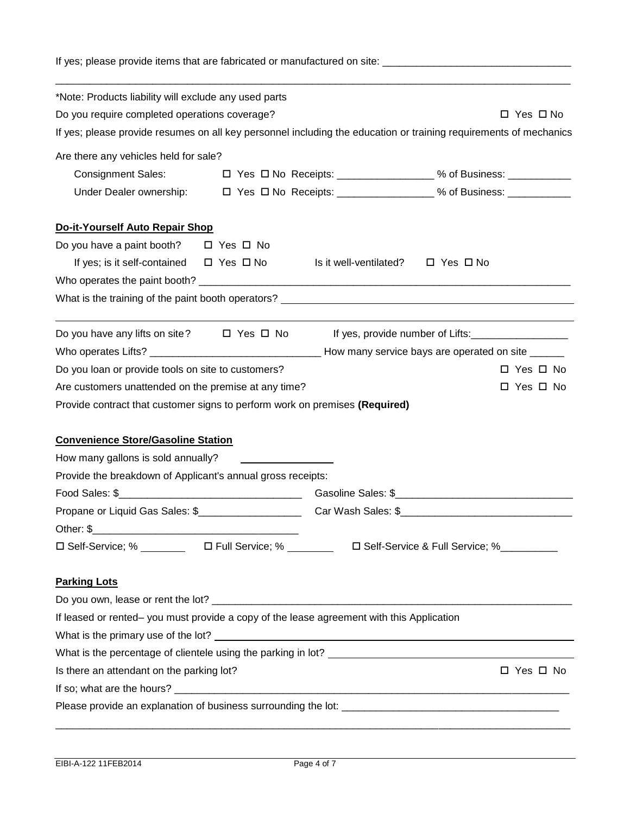If yes; please provide items that are fabricated or manufactured on site: \_\_\_\_\_\_\_\_\_\_\_\_\_\_\_\_\_\_\_\_\_\_\_\_\_\_\_\_\_\_\_\_\_

| *Note: Products liability will exclude any used parts                                                           |                                             |                                                                                                                   |
|-----------------------------------------------------------------------------------------------------------------|---------------------------------------------|-------------------------------------------------------------------------------------------------------------------|
| Do you require completed operations coverage?                                                                   |                                             | $\Box$ Yes $\Box$ No                                                                                              |
|                                                                                                                 |                                             | If yes; please provide resumes on all key personnel including the education or training requirements of mechanics |
| Are there any vehicles held for sale?                                                                           |                                             |                                                                                                                   |
| <b>Consignment Sales:</b>                                                                                       |                                             | □ Yes □ No Receipts: _________________% of Business: ___________________________                                  |
|                                                                                                                 |                                             |                                                                                                                   |
| Do-it-Yourself Auto Repair Shop                                                                                 |                                             |                                                                                                                   |
| Do you have a paint booth? □ Yes □ No                                                                           |                                             |                                                                                                                   |
| If yes; is it self-contained $\Box$ Yes $\Box$ No                                                               | Is it well-ventilated? $\Box$ Yes $\Box$ No |                                                                                                                   |
|                                                                                                                 |                                             |                                                                                                                   |
| What is the training of the paint booth operators? <u>example and the contract of the state of the state of</u> |                                             |                                                                                                                   |
| Do you have any lifts on site? $\Box$ Yes $\Box$ No                                                             |                                             | If yes, provide number of Lifts:                                                                                  |
|                                                                                                                 |                                             |                                                                                                                   |
|                                                                                                                 |                                             |                                                                                                                   |
|                                                                                                                 |                                             | $\Box$ Yes $\Box$ No                                                                                              |
| Do you loan or provide tools on site to customers?                                                              |                                             | $\Box$ Yes $\Box$ No                                                                                              |
| Are customers unattended on the premise at any time?                                                            |                                             |                                                                                                                   |
| Provide contract that customer signs to perform work on premises (Required)                                     |                                             |                                                                                                                   |
| <b>Convenience Store/Gasoline Station</b>                                                                       |                                             |                                                                                                                   |
| How many gallons is sold annually?                                                                              |                                             |                                                                                                                   |
| Provide the breakdown of Applicant's annual gross receipts:                                                     |                                             |                                                                                                                   |
|                                                                                                                 |                                             |                                                                                                                   |
|                                                                                                                 |                                             |                                                                                                                   |
|                                                                                                                 |                                             |                                                                                                                   |
| □ Self-Service; % __________ □ Full Service; % ________ □ Self-Service & Full Service; %_________               |                                             |                                                                                                                   |
| <b>Parking Lots</b>                                                                                             |                                             |                                                                                                                   |
|                                                                                                                 |                                             |                                                                                                                   |
| If leased or rented- you must provide a copy of the lease agreement with this Application                       |                                             |                                                                                                                   |
|                                                                                                                 |                                             |                                                                                                                   |
|                                                                                                                 |                                             |                                                                                                                   |
|                                                                                                                 |                                             | □ Yes □ No                                                                                                        |
| Is there an attendant on the parking lot?                                                                       |                                             |                                                                                                                   |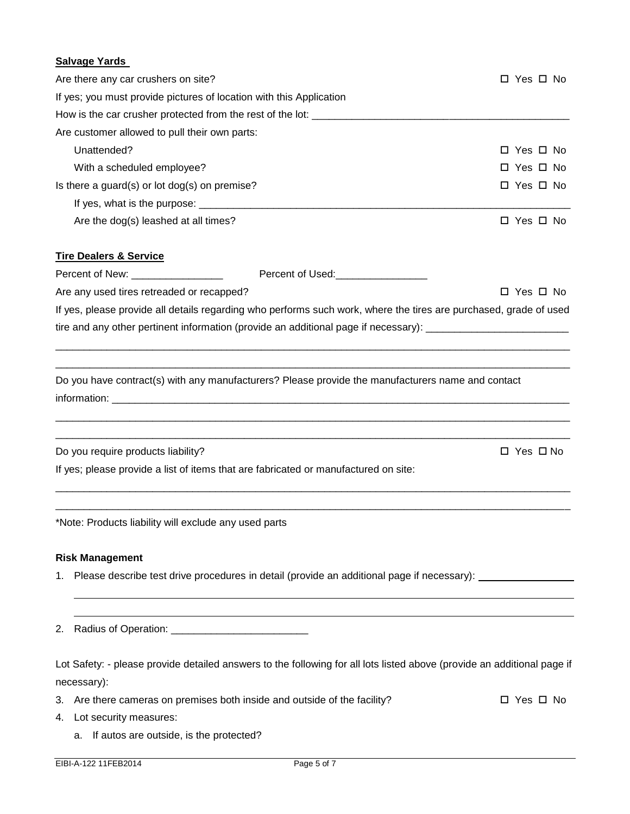# **Salvage Yards** Are there any car crushers on site?  $\Box$  Yes  $\Box$  Yes  $\Box$  No If yes; you must provide pictures of location with this Application How is the car crusher protected from the rest of the lot: Are customer allowed to pull their own parts: Unattended? Yes No With a scheduled employee?  $\Box$  Yes  $\Box$  No Is there a guard(s) or lot dog(s) on premise?  $\Box$  Yes  $\Box$  No If yes, what is the purpose:  $\Box$ Are the dog(s) leashed at all times?  $\Box$  Yes  $\Box$  No **Tire Dealers & Service** Percent of New: extending the Percent of Used: Are any used tires retreaded or recapped? 
<br>
Are any used tires retreaded or recapped? If yes, please provide all details regarding who performs such work, where the tires are purchased, grade of used tire and any other pertinent information (provide an additional page if necessary): \_\_\_\_\_\_\_\_\_\_\_\_\_\_\_\_\_\_\_\_\_\_\_\_\_\_ \_\_\_\_\_\_\_\_\_\_\_\_\_\_\_\_\_\_\_\_\_\_\_\_\_\_\_\_\_\_\_\_\_\_\_\_\_\_\_\_\_\_\_\_\_\_\_\_\_\_\_\_\_\_\_\_\_\_\_\_\_\_\_\_\_\_\_\_\_\_\_\_\_\_\_\_\_\_\_\_\_\_\_\_\_\_\_\_\_\_ \_\_\_\_\_\_\_\_\_\_\_\_\_\_\_\_\_\_\_\_\_\_\_\_\_\_\_\_\_\_\_\_\_\_\_\_\_\_\_\_\_\_\_\_\_\_\_\_\_\_\_\_\_\_\_\_\_\_\_\_\_\_\_\_\_\_\_\_\_\_\_\_\_\_\_\_\_\_\_\_\_\_\_\_\_\_\_\_\_\_ Do you have contract(s) with any manufacturers? Please provide the manufacturers name and contact information: \_\_\_\_\_\_\_\_\_\_\_\_\_\_\_\_\_\_\_\_\_\_\_\_\_\_\_\_\_\_\_\_\_\_\_\_\_\_\_\_\_\_\_\_\_\_\_\_\_\_\_\_\_\_\_\_\_\_\_\_\_\_\_\_\_\_\_\_\_\_\_\_\_\_\_\_\_\_\_\_\_\_\_\_\_\_\_\_\_\_ \_\_\_\_\_\_\_\_\_\_\_\_\_\_\_\_\_\_\_\_\_\_\_\_\_\_\_\_\_\_\_\_\_\_\_\_\_\_\_\_\_\_\_\_\_\_\_\_\_\_\_\_\_\_\_\_\_\_\_\_\_\_\_\_\_\_\_\_\_\_\_\_\_\_\_\_\_\_\_\_\_\_\_\_\_\_\_\_\_\_ Do you require products liability? 
<br>
Do you require products liability? If yes; please provide a list of items that are fabricated or manufactured on site: \_\_\_\_\_\_\_\_\_\_\_\_\_\_\_\_\_\_\_\_\_\_\_\_\_\_\_\_\_\_\_\_\_\_\_\_\_\_\_\_\_\_\_\_\_\_\_\_\_\_\_\_\_\_\_\_\_\_\_\_\_\_\_\_\_\_\_\_\_\_\_\_\_\_\_\_\_\_\_\_\_\_\_\_\_\_\_\_\_\_ \_\_\_\_\_\_\_\_\_\_\_\_\_\_\_\_\_\_\_\_\_\_\_\_\_\_\_\_\_\_\_\_\_\_\_\_\_\_\_\_\_\_\_\_\_\_\_\_\_\_\_\_\_\_\_\_\_\_\_\_\_\_\_\_\_\_\_\_\_\_\_\_\_\_\_\_\_\_\_\_\_\_\_\_\_\_\_\_\_\_ \*Note: Products liability will exclude any used parts **Risk Management** 1. Please describe test drive procedures in detail (provide an additional page if necessary):

2. Radius of Operation:

Lot Safety: - please provide detailed answers to the following for all lots listed above (provide an additional page if necessary):

- 3. Are there cameras on premises both inside and outside of the facility?  $\square$  Yes  $\square$  No
- 4. Lot security measures:
	- a. If autos are outside, is the protected?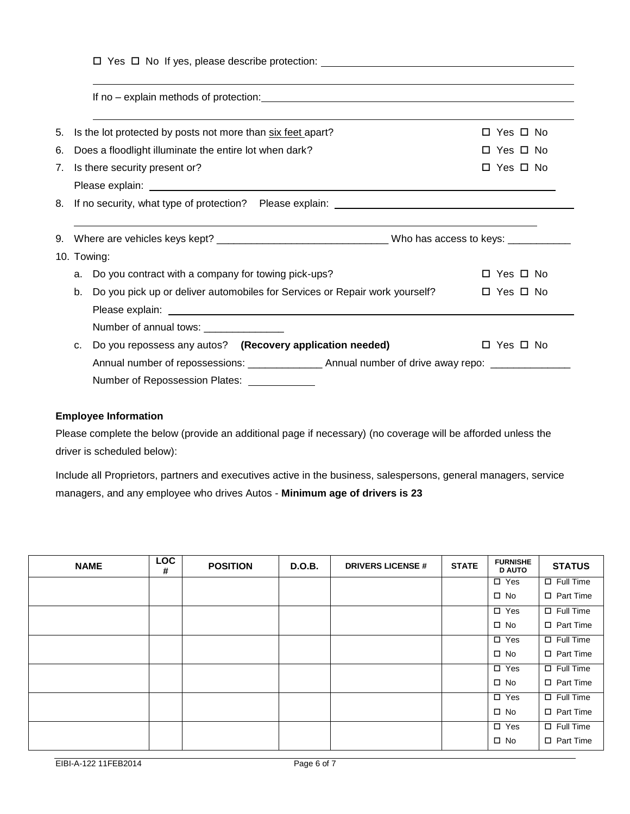| If no – explain methods of protection: explained by the state of protection of the state of protection of the state of protection of the state of protection of the state of the state of the state of the state of the state  |                                              |
|--------------------------------------------------------------------------------------------------------------------------------------------------------------------------------------------------------------------------------|----------------------------------------------|
| 5. Is the lot protected by posts not more than six feet apart?                                                                                                                                                                 | $\Box$ Yes $\Box$ No                         |
| 6.<br>Does a floodlight illuminate the entire lot when dark?                                                                                                                                                                   | $\Box$ Yes $\Box$ No                         |
| 7. Is there security present or?                                                                                                                                                                                               | $\Box$ Yes $\Box$ No                         |
|                                                                                                                                                                                                                                |                                              |
|                                                                                                                                                                                                                                |                                              |
|                                                                                                                                                                                                                                |                                              |
|                                                                                                                                                                                                                                |                                              |
|                                                                                                                                                                                                                                |                                              |
| Do you contract with a company for towing pick-ups?<br>a.                                                                                                                                                                      |                                              |
| Do you pick up or deliver automobiles for Services or Repair work yourself?<br>b.                                                                                                                                              | $\Box$ Yes $\Box$ No<br>$\Box$ Yes $\Box$ No |
| Please explain: Note and the set of the set of the set of the set of the set of the set of the set of the set of the set of the set of the set of the set of the set of the set of the set of the set of the set of the set of |                                              |
| Number of annual tows: _______________                                                                                                                                                                                         |                                              |
| 9. Where are vehicles keys kept? __________________________________Who has access to keys: _____________<br>10. Towing:<br>Do you repossess any autos? (Recovery application needed)<br>C.                                     | $\Box$ Yes $\Box$ No                         |

# **Employee Information**

Please complete the below (provide an additional page if necessary) (no coverage will be afforded unless the driver is scheduled below):

Include all Proprietors, partners and executives active in the business, salespersons, general managers, service managers, and any employee who drives Autos - **Minimum age of drivers is 23** 

| <b>NAME</b> | <b>LOC</b><br># | <b>POSITION</b> | <b>D.O.B.</b> | <b>DRIVERS LICENSE #</b> | <b>STATE</b> | <b>FURNISHE</b><br><b>D AUTO</b> | <b>STATUS</b>    |
|-------------|-----------------|-----------------|---------------|--------------------------|--------------|----------------------------------|------------------|
|             |                 |                 |               |                          |              | $\square$ Yes                    | $\Box$ Full Time |
|             |                 |                 |               |                          |              | $\square$ No                     | $\Box$ Part Time |
|             |                 |                 |               |                          |              | $\square$ Yes                    | $\Box$ Full Time |
|             |                 |                 |               |                          |              | $\square$ No                     | $\Box$ Part Time |
|             |                 |                 |               |                          |              | $\Box$ Yes                       | $\Box$ Full Time |
|             |                 |                 |               |                          |              | $\square$ No                     | $\Box$ Part Time |
|             |                 |                 |               |                          |              | $\square$ Yes                    | $\Box$ Full Time |
|             |                 |                 |               |                          |              | $\square$ No                     | $\Box$ Part Time |
|             |                 |                 |               |                          |              | $\Box$ Yes                       | $\Box$ Full Time |
|             |                 |                 |               |                          |              | $\square$ No                     | $\Box$ Part Time |
|             |                 |                 |               |                          |              | $\Box$ Yes                       | $\Box$ Full Time |
|             |                 |                 |               |                          |              | $\square$ No                     | $\Box$ Part Time |